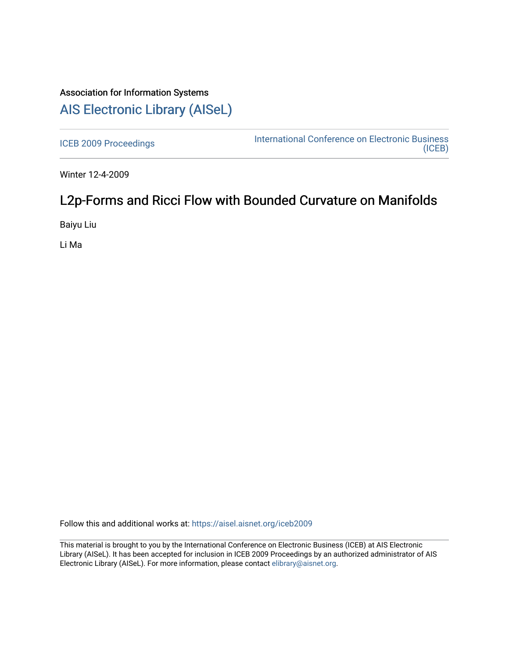# Association for Information Systems

# [AIS Electronic Library \(AISeL\)](https://aisel.aisnet.org/)

[ICEB 2009 Proceedings](https://aisel.aisnet.org/iceb2009) **International Conference on Electronic Business** [\(ICEB\)](https://aisel.aisnet.org/iceb) 

Winter 12-4-2009

# L2p-Forms and Ricci Flow with Bounded Curvature on Manifolds

Baiyu Liu

Li Ma

Follow this and additional works at: [https://aisel.aisnet.org/iceb2009](https://aisel.aisnet.org/iceb2009?utm_source=aisel.aisnet.org%2Ficeb2009%2F139&utm_medium=PDF&utm_campaign=PDFCoverPages)

This material is brought to you by the International Conference on Electronic Business (ICEB) at AIS Electronic Library (AISeL). It has been accepted for inclusion in ICEB 2009 Proceedings by an authorized administrator of AIS Electronic Library (AISeL). For more information, please contact [elibrary@aisnet.org.](mailto:elibrary@aisnet.org%3E)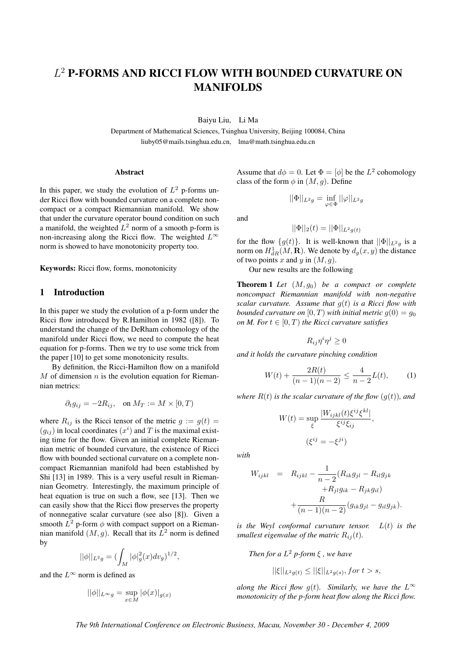# L <sup>2</sup> P-FORMS AND RICCI FLOW WITH BOUNDED CURVATURE ON MANIFOLDS

Baiyu Liu, Li Ma

Department of Mathematical Sciences, Tsinghua University, Beijing 100084, China liuby05@mails.tsinghua.edu.cn, lma@math.tsinghua.edu.cn

#### Abstract

In this paper, we study the evolution of  $L^2$  p-forms under Ricci flow with bounded curvature on a complete noncompact or a compact Riemannian manifold. We show that under the curvature operator bound condition on such a manifold, the weighted  $L^2$  norm of a smooth p-form is non-increasing along the Ricci flow. The weighted  $L^{\infty}$ norm is showed to have monotonicity property too.

Keywords: Ricci flow, forms, monotonicity

### 1 Introduction

In this paper we study the evolution of a p-form under the Ricci flow introduced by R.Hamilton in 1982 ([8]). To understand the change of the DeRham cohomology of the manifold under Ricci flow, we need to compute the heat equation for p-forms. Then we try to use some trick from the paper [10] to get some monotonicity results.

By definition, the Ricci-Hamilton flow on a manifold  $M$  of dimension  $n$  is the evolution equation for Riemannian metrics:

$$
\partial_t g_{ij} = -2R_{ij}, \quad \text{on } M_T := M \times [0, T)
$$

where  $R_{ij}$  is the Ricci tensor of the metric  $g := g(t) =$  $(g_{ij})$  in local coordinates  $(x^i)$  and T is the maximal existing time for the flow. Given an initial complete Riemannian metric of bounded curvature, the existence of Ricci flow with bounded sectional curvature on a complete noncompact Riemannian manifold had been established by Shi [13] in 1989. This is a very useful result in Riemannian Geometry. Interestingly, the maximum principle of heat equation is true on such a flow, see [13]. Then we can easily show that the Ricci flow preserves the property of nonnegative scalar curvature (see also [8]). Given a smooth  $L^2$  p-form  $\phi$  with compact support on a Riemannian manifold  $(M, g)$ . Recall that its  $L^2$  norm is defined by

$$
||\phi||_{L^2g}=(\int_M |\phi|^2_g(x) dv_g)^{1/2},
$$

and the  $L^{\infty}$  norm is defined as

$$
||\phi||_{L^{\infty}g} = \sup_{x \in M} |\phi(x)|_{g(x)}
$$

Assume that  $d\phi = 0$ . Let  $\Phi = [\phi]$  be the  $L^2$  cohomology class of the form  $\phi$  in  $(M, q)$ . Define

$$
||\Phi||_{L^2g} = \inf_{\varphi \in \Phi} ||\varphi||_{L^2g}
$$

and

$$
||\Phi||_2(t) = ||\Phi||_{L^2g(t)}
$$

for the flow  $\{g(t)\}\$ . It is well-known that  $||\Phi||_{L^2_q}$  is a norm on  $H^1_{dR}(M,\mathbf{R})$ . We denote by  $d_g(x, y)$  the distance of two points x and y in  $(M, g)$ .

Our new results are the following

**Theorem 1** Let  $(M, g_0)$  be a compact or complete *noncompact Riemannian manifold with non-negative scalar curvature. Assume that* g(t) *is a Ricci flow with bounded curvature on*  $[0, T)$  *with initial metric*  $q(0) = q_0$ *on M. For*  $t \in [0, T)$  *the Ricci curvature satisfies* 

$$
R_{ij}\eta^i\eta^j\geq 0
$$

*and it holds the curvature pinching condition*

$$
W(t) + \frac{2R(t)}{(n-1)(n-2)} \le \frac{4}{n-2}L(t),
$$
 (1)

*where*  $R(t)$  *is the scalar curvature of the flow*  $(q(t))$ *, and* 

$$
W(t) = \sup_{\xi} \frac{|W_{ijkl}(t)\xi^{ij}\xi^{kl}|}{\xi^{ij}\xi_{ij}},
$$

$$
(\xi^{ij} = -\xi^{ji})
$$

*with*

$$
W_{ijkl} = R_{ijkl} - \frac{1}{n-2} (R_{ik}g_{jl} - R_{il}g_{jk} + R_{jl}g_{ik} - R_{jk}g_{il}) + \frac{R}{(n-1)(n-2)} (g_{ik}g_{jl} - g_{il}g_{jk}).
$$

*is the Weyl conformal curvature tensor.* L(t) *is the smallest eigenvalue of the matric*  $R_{ii}(t)$ *.* 

*Then for a*  $L^2$  *p*-form  $\xi$ , we have

$$
||\xi||_{L^2g(t)} \le ||\xi||_{L^2g(s)}, \text{for } t > s,
$$

*along the Ricci flow*  $q(t)$ *. Similarly, we have the*  $L^{\infty}$ *monotonicity of the p-form heat flow along the Ricci flow.*

*The 9th International Conference on Electronic Business, Macau, November 30 - December 4, 2009*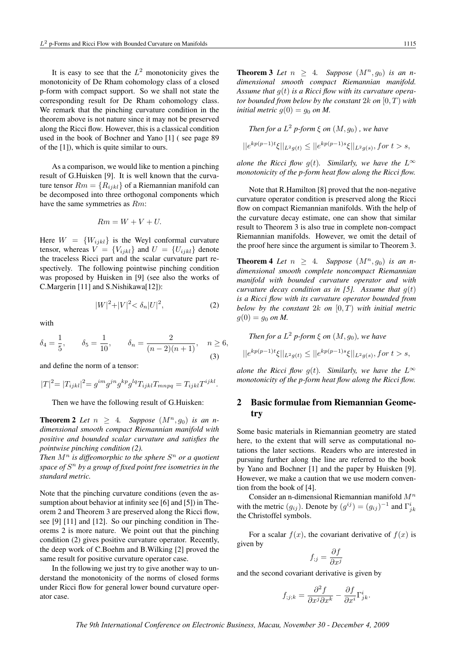It is easy to see that the  $L^2$  monotonicity gives the monotonicity of De Rham cohomology class of a closed p-form with compact support. So we shall not state the corresponding result for De Rham cohomology class. We remark that the pinching curvature condition in the theorem above is not nature since it may not be preserved along the Ricci flow. However, this is a classical condition used in the book of Bochner and Yano [1] ( see page 89 of the [1]), which is quite similar to ours.

As a comparison, we would like to mention a pinching result of G.Huisken [9]. It is well known that the curvature tensor  $Rm = \{R_{ijkl}\}\$ of a Riemannian manifold can be decomposed into three orthogonal components which have the same symmetries as Rm:

$$
Rm = W + V + U.
$$

Here  $W = \{W_{ijkl}\}\$ is the Weyl conformal curvature tensor, whereas  $V = \{V_{ijkl}\}\$ and  $U = \{U_{ijkl}\}\$ denote the traceless Ricci part and the scalar curvature part respectively. The following pointwise pinching condition was proposed by Huisken in [9] (see also the works of C.Margerin [11] and S.Nishikawa[12]):

$$
|W|^2 + |V|^2 < \delta_n |U|^2,\tag{2}
$$

with

$$
\delta_4 = \frac{1}{5}, \quad \delta_5 = \frac{1}{10}, \quad \delta_n = \frac{2}{(n-2)(n+1)}, \quad n \ge 6,
$$
\n(3)

and define the norm of a tensor:

$$
|T|^2\hspace{-1mm}=\hspace{-1mm}|T_{ijkl}|^2\hspace{-1mm}=g^{im}g^{jn}g^{kp}g^{lq}T_{ijkl}T_{mnpq}=T_{ijkl}T^{ijkl}.
$$

Then we have the following result of G.Huisken:

**Theorem 2** Let  $n \geq 4$ . Suppose  $(M^n, g_0)$  is an n*dimensional smooth compact Riemannian manifold with positive and bounded scalar curvature and satisfies the pointwise pinching condition (2).*

Then  $M^n$  is diffeomorphic to the sphere  $S^n$  or a quotient *space of* S <sup>n</sup> *by a group of fixed point free isometries in the standard metric.*

Note that the pinching curvature conditions (even the assumption about behavior at infinity see [6] and [5]) in Theorem 2 and Theorem 3 are preserved along the Ricci flow, see [9] [11] and [12]. So our pinching condition in Theorems 2 is more nature. We point out that the pinching condition (2) gives positive curvature operator. Recently, the deep work of C.Boehm and B.Wilking [2] proved the same result for positive curvature operator case.

In the following we just try to give another way to understand the monotonicity of the norms of closed forms under Ricci flow for general lower bound curvature operator case.

**Theorem 3** Let  $n \geq 4$ . Suppose  $(M^n, g_0)$  is an n*dimensional smooth compact Riemannian manifold. Assume that* g(t) *is a Ricci flow with its curvature operator bounded from below by the constant* 2k *on* [0, T) *with initial metric*  $g(0) = g_0$  *on M.* 

*Then for a*  $L^2$  *p*-form  $\xi$  *on*  $(M, g_0)$ , we have

$$
||e^{kp(p-1)t}\xi||_{L^2g(t)} \le ||e^{kp(p-1)s}\xi||_{L^2g(s)}, \text{for } t > s,
$$

*alone the Ricci flow g(t). Similarly, we have the*  $L^{\infty}$ *monotonicity of the p-form heat flow along the Ricci flow.*

Note that R.Hamilton [8] proved that the non-negative curvature operator condition is preserved along the Ricci flow on compact Riemannian manifolds. With the help of the curvature decay estimate, one can show that similar result to Theorem 3 is also true in complete non-compact Riemannian manifolds. However, we omit the detail of the proof here since the argument is similar to Theorem 3.

**Theorem 4** Let  $n > 4$ . Suppose  $(M^n, q_0)$  is an n*dimensional smooth complete noncompact Riemannian manifold with bounded curvature operator and with curvature decay condition as in [5]. Assume that* g(t) *is a Ricci flow with its curvature operator bounded from below by the constant* 2k *on* [0, T) *with initial metric*  $g(0) = g_0 \text{ on } M$ .

Then for a 
$$
L^2
$$
 p-form  $\xi$  on  $(M, g_0)$ , we have  

$$
||e^{kp(p-1)t}\xi||_{L^2g(t)} \leq ||e^{kp(p-1)s}\xi||_{L^2g(s)}, \text{ for } t > s,
$$

*alone the Ricci flow*  $g(t)$ *. Similarly, we have the*  $L^{\infty}$ *monotonicity of the p-form heat flow along the Ricci flow.*

## 2 Basic formulae from Riemannian Geometry

Some basic materials in Riemannian geometry are stated here, to the extent that will serve as computational notations the later sections. Readers who are interested in pursuing further along the line are referred to the book by Yano and Bochner [1] and the paper by Huisken [9]. However, we make a caution that we use modern convention from the book of [4].

Consider an n-dimensional Riemannian manifold  $M^n$ with the metric  $(g_{ij})$ . Denote by  $(g^{ij}) = (g_{ij})^{-1}$  and  $\Gamma^i_{jk}$ the Christoffel symbols.

For a scalar  $f(x)$ , the covariant derivative of  $f(x)$  is given by

$$
f_{;j} = \frac{\partial f}{\partial x^j}
$$

and the second covariant derivative is given by

$$
f_{;j;k} = \frac{\partial^2 f}{\partial x^j \partial x^k} - \frac{\partial f}{\partial x^i} \Gamma^i_{jk}.
$$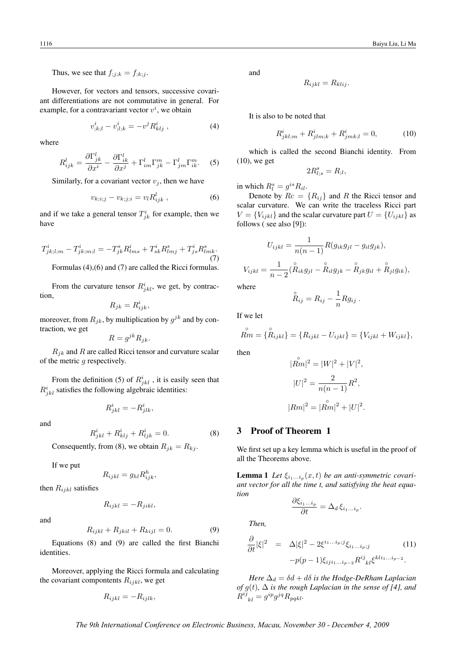Thus, we see that  $f_{;j;k} = f_{;k;j}$ .

However, for vectors and tensors, successive covariant differentiations are not commutative in general. For example, for a contravariant vector  $v^i$ , we obtain

$$
v_{;k;l}^{i} - v_{;l;k}^{i} = -v^{j} R_{klj}^{i} , \qquad (4)
$$

where

$$
R_{ijk}^l = \frac{\partial \Gamma_{jk}^l}{\partial x^i} - \frac{\partial \Gamma_{ik}^l}{\partial x^j} + \Gamma_{im}^l \Gamma_{jk}^m - \Gamma_{jm}^l \Gamma_{ik}^m.
$$
 (5)

Similarly, for a covariant vector  $v_i$ , then we have

$$
v_{k;i;j} - v_{k;j;i} = v_l R_{ijk}^l , \t\t(6)
$$

and if we take a general tensor  $T_{jk}^i$  for example, then we have

$$
T_{jk;l,m}^i - T_{jk,m;l}^i = -T_{jk}^s R_{lms}^i + T_{sk}^i R_{lmj}^s + T_{js}^i R_{lmk}^s.
$$
\n(7)

Formulas (4),(6) and (7) are called the Ricci formulas.

From the curvature tensor  $R^i_{jkl}$ , we get, by contraction,

$$
R_{jk} = R_{ijk}^i,
$$

moreover, from  $R_{jk}$ , by multiplication by  $g^{jk}$  and by contraction, we get

$$
R = g^{jk} R_{jk}.
$$

 $R_{ik}$  and  $R$  are called Ricci tensor and curvature scalar of the metric g respectively.

From the definition (5) of  $R_{jkl}^{i}$ , it is easily seen that  $R_{jkl}^{i}$  satisfies the following algebraic identities:

$$
R^i_{jkl} = -R^i_{jlk},
$$

and

$$
R_{jkl}^i + R_{klj}^i + R_{ljk}^i = 0.
$$
 (8)

Consequently, from (8), we obtain  $R_{jk} = R_{kj}$ .

If we put

$$
R_{ijkl} = g_{hl} R_{ijk}^h,
$$

then  $R_{ijkl}$  satisfies

$$
R_{ijkl} = -R_{jikl},
$$

and

$$
R_{ijkl} + R_{jkil} + R_{kijl} = 0.
$$
 (9)

Equations (8) and (9) are called the first Bianchi identities.

Moreover, applying the Ricci formula and calculating the covariant compontents  $R_{ijkl}$ , we get

$$
R_{ijkl} = -R_{ijlk},
$$

and

$$
R_{ijkl} = R_{klij}.
$$

It is also to be noted that

$$
R_{jkl;m}^i + R_{jlm;k}^i + R_{jmk;l}^i = 0,
$$
\n(10)

which is called the second Bianchi identity. From  $(10)$ , we get

$$
2R^s_{l;s} = R_{;l},
$$

in which  $R_l^s = g^{is} R_{il}$ .

Denote by  $Rc = \{R_{ij}\}\$ and R the Ricci tensor and scalar curvature. We can write the traceless Ricci part  $V = \{V_{ijkl}\}\$ and the scalar curvature part  $U = \{U_{ijkl}\}\$ as follows ( see also [9]):

$$
U_{ijkl} = \frac{1}{n(n-1)} R(g_{ik}g_{jl} - g_{il}g_{jk}),
$$
  

$$
V_{ijkl} = \frac{1}{n-2} (\stackrel{\circ}{R}_{ik} g_{jl} - \stackrel{\circ}{R}_{il} g_{jk} - \stackrel{\circ}{R}_{jk} g_{il} + \stackrel{\circ}{R}_{jl} g_{ik}),
$$

where

$$
\overset{\circ}{R}_{ij} = R_{ij} - \frac{1}{n} R g_{ij} \ .
$$

If we let

$$
\stackrel{\circ}{R\!m} = \{ \stackrel{\circ}{R}_{ijkl} \} = \{ R_{ijkl} - U_{ijkl} \} = \{ V_{ijkl} + W_{ijkl} \},
$$

then

$$
|\overset{\circ}{Rm}|^2 = |W|^2 + |V|^2,
$$
  

$$
|U|^2 = \frac{2}{n(n-1)}R^2,
$$
  

$$
|Rm|^2 = |\overset{\circ}{Rm}|^2 + |U|^2.
$$

### 3 Proof of Theorem 1

We first set up a key lemma which is useful in the proof of all the Theorems above.

**Lemma 1** Let  $\xi_{i_1...i_p}(x,t)$  be an anti-symmetric covari*ant vector for all the time t, and satisfying the heat equation*

$$
\frac{\partial \xi_{i_1...i_p}}{\partial t} = \Delta_d \, \xi_{i_1...i_p}.
$$

*Then,*

$$
\frac{\partial}{\partial t} |\xi|^2 = \Delta |\xi|^2 - 2\xi^{i_1...i_p;j} \xi_{i_1...i_p;j} \qquad (11)
$$

$$
-p(p-1)\xi_{ij}{}_{i_1...i_{p-2}} R^{ij}{}_{kl} \xi^{kli_1...i_{p-2}}.
$$

*Here*  $\Delta_d = \delta d + d\delta$  *is the Hodge-DeRham Laplacian of*  $g(t)$ ,  $\Delta$  *is the rough Laplacian in the sense of* [4], and  $R^{i\bar{j}}_{\ \ kl} = g^{ip}g^{jq}R_{pqkl}.$ 

*The 9th International Conference on Electronic Business, Macau, November 30 - December 4, 2009*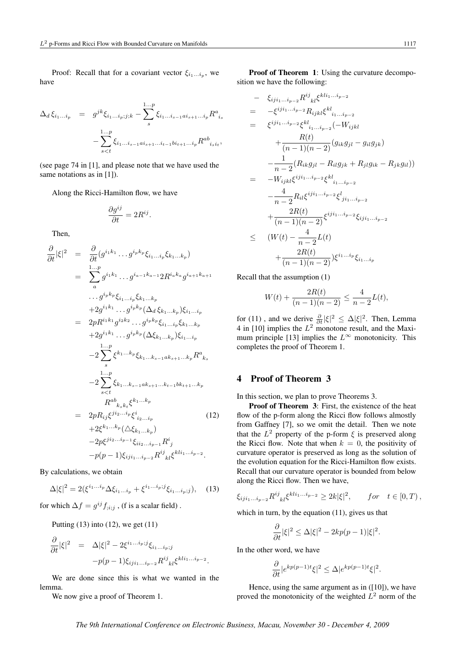Proof: Recall that for a covariant vector  $\xi_{i_1...i_p}$ , we have

$$
\Delta_d \xi_{i_1...i_p} = g^{jk} \xi_{i_1...i_p;j;k} - \sum_s^{1...p} \xi_{i_1...i_{s-1}ai_{s+1}...i_p} R^a_{i_s}
$$

$$
- \sum_{s
$$

(see page 74 in [1], and please note that we have used the same notations as in [1]).

Along the Ricci-Hamilton flow, we have

$$
\frac{\partial g^{ij}}{\partial t} = 2R^{ij}.
$$

Then,

$$
\frac{\partial}{\partial t}|\xi|^{2} = \frac{\partial}{\partial t}(g^{i_{1}k_{1}}\cdots g^{i_{p}k_{p}}\xi_{i_{1}...i_{p}}\xi_{k_{1}...k_{p}})
$$
\n
$$
= \sum_{a}^{1...p} g^{i_{1}k_{1}}\cdots g^{i_{a-1}k_{a-1}}2R^{i_{a}k_{a}}g^{i_{a+1}k_{a+1}}
$$
\n
$$
\cdots g^{i_{p}k_{p}}\xi_{i_{1}...i_{p}}\xi_{k_{1}...k_{p}}
$$
\n
$$
+2g^{i_{1}k_{1}}\cdots g^{i_{p}k_{p}}(\Delta_{d}\xi_{k_{1}...k_{p}})\xi_{i_{1}...i_{p}}
$$
\n
$$
= 2pR^{i_{1}k_{1}}g^{i_{2}k_{2}}\cdots g^{i_{p}k_{p}}\xi_{i_{1}...i_{p}}\xi_{k_{1}...k_{p}}
$$
\n
$$
+2g^{i_{1}k_{1}}\cdots g^{i_{p}k_{p}}(\Delta\xi_{k_{1}...k_{p}})\xi_{i_{1}...i_{p}}
$$
\n
$$
-2\sum_{s}^{1...p}\xi^{k_{1}...k_{p}}\xi_{k_{1}...k_{s-1}ak_{s+1}...k_{p}}R^{a}_{k_{s}}
$$
\n
$$
-2\sum_{s\n
$$
R^{ab}_{k_{s}k_{t}}\xi^{k_{1}...k_{p}}
$$
\n
$$
+2\xi^{k_{1}...k_{p}}(\Delta\xi_{k_{1}...k_{p}})
$$
\n
$$
+2\xi^{k_{1}...k_{p}}(\Delta\xi_{k_{1}...k_{p}})
$$
\n
$$
-2p\xi^{j_{1}2...j_{p-1}}\xi_{i_{2}...i_{p-1}}R^{i}_{j_{s}}\xi^{k_{1}i_{1}...i_{p-2}}
$$
\n(12)
$$

By calculations, we obtain

$$
\Delta |\xi|^2 = 2(\xi^{i_1...i_p} \Delta \xi_{i_1...i_p} + \xi^{i_1...i_p;j} \xi_{i_1...i_p;j}), \quad (13)
$$

for which  $\Delta f = g^{ij} f_{;i;j}$ , (f is a scalar field).

Putting  $(13)$  into  $(12)$ , we get  $(11)$ 

$$
\frac{\partial}{\partial t}|\xi|^2 = \Delta |\xi|^2 - 2\xi^{i_1...i_p;j}\xi_{i_1...i_p;j}
$$

$$
-p(p-1)\xi_{ij}i_{1...i_{p-2}}R^{ij}{}_{kl}\xi^{kli_1...i_{p-2}}.
$$

We are done since this is what we wanted in the lemma.

We now give a proof of Theorem 1.

Proof of Theorem 1: Using the curvature decomposition we have the following:

$$
- \xi_{ij}{}_{i_{1}...i_{p-2}} R^{ij}{}_{kl} \xi^{kli_{1}...i_{p-2}}\n= - \xi^{ij}{}_{i_{1}...i_{p-2}} R_{ijkl} \xi^{kl}{}_{i_{1}...i_{p-2}}\n= \xi^{ij}{}_{i_{1}...i_{p-2}} \xi^{kl}{}_{i_{1}...i_{p-2}} (-W_{ijkl}\n+ \frac{R(t)}{(n-1)(n-2)} (g_{ik}g_{jl} - g_{il}g_{jk})\n- \frac{1}{n-2} (R_{ik}g_{jl} - R_{il}g_{jk} + R_{jl}g_{ik} - R_{jk}g_{il}))\n= -W_{ijkl} \xi^{ij}{}_{i_{1}...i_{p-2}} \xi^{kl}{}_{i_{1}...i_{p-2}}\n- \frac{4}{n-2} R_{il} \xi^{ij}{}_{i_{1}...i_{p-2}} \xi^{j}{}_{j_{1}...i_{p-2}}\n+ \frac{2R(t)}{(n-1)(n-2)} \xi^{ij}{}_{i_{1}...i_{p-2}} \xi_{ij}{}_{i_{1}...i_{p-2}}\n\leq (W(t) - \frac{4}{n-2}L(t)\n+ \frac{2R(t)}{(n-1)(n-2)}) \xi^{i_{1}...i_{p}} \xi_{i_{1}...i_{p}}
$$

Recall that the assumption (1)

$$
W(t) + \frac{2R(t)}{(n-1)(n-2)} \le \frac{4}{n-2}L(t),
$$

for (11), and we derive  $\frac{\partial}{\partial t} |\xi|^2 \leq \Delta |\xi|^2$ . Then, Lemma 4 in [10] implies the  $L^2$  monotone result, and the Maximum principle [13] implies the  $L^{\infty}$  monotonicity. This completes the proof of Theorem 1.

#### 4 Proof of Theorem 3

In this section, we plan to prove Theorems 3.

Proof of Theorem 3: First, the existence of the heat flow of the p-form along the Ricci flow follows almostly from Gaffney [7], so we omit the detail. Then we note that the  $L^2$  property of the p-form  $\xi$  is preserved along the Ricci flow. Note that when  $k = 0$ , the positivity of curvature operator is preserved as long as the solution of the evolution equation for the Ricci-Hamilton flow exists. Recall that our curvature operator is bounded from below along the Ricci flow. Then we have,

$$
\xi_{iji_1...i_{p-2}} R^{ij}{}_{kl} \xi^{kli_1...i_{p-2}} \geq 2k|\xi|^2, \quad for \quad t \in [0, T),
$$

which in turn, by the equation (11), gives us that

$$
\frac{\partial}{\partial t}|\xi|^2 \le \Delta |\xi|^2 - 2kp(p-1)|\xi|^2.
$$

In the other word, we have

$$
\frac{\partial}{\partial t} |e^{kp(p-1)t}\xi|^2 \le \Delta |e^{kp(p-1)t}\xi|^2.
$$

Hence, using the same argument as in  $([10])$ , we have proved the monotonicity of the weighted  $L^2$  norm of the

*The 9th International Conference on Electronic Business, Macau, November 30 - December 4, 2009*